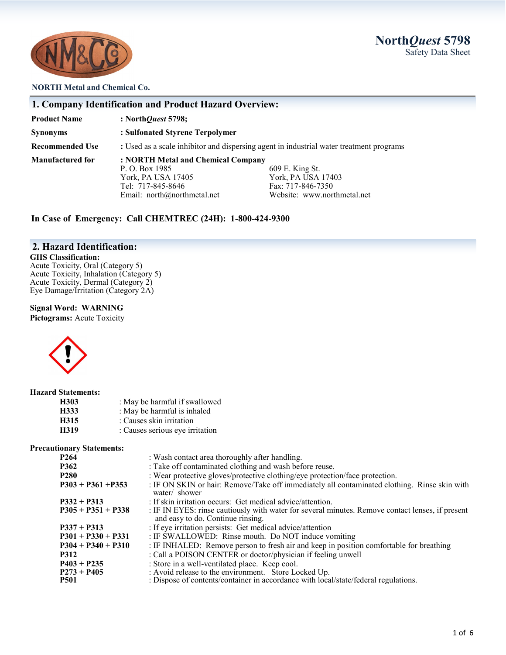# **North***Quest* **5798** Safety Data Sheet



#### **NORTH Metal and Chemical Co.**

| 1. Company Identification and Product Hazard Overview: |  |
|--------------------------------------------------------|--|
|--------------------------------------------------------|--|

**Product Name : North***Quest* **5798;** 

**Synonyms : Sulfonated Styrene Terpolymer** 

**Recommended Use : Used as a scale inhibitor and dispersing agent in industrial water treatment programs** 

**Manufactured for : NORTH Metal and Chemical Company**

P. O. Box 1985 609 E. King St.<br>
York, PA USA 17405 609 E. King St. Email: north@northmetal.net

York, PA USA 17403 Tel: 717-845-8646<br>
Email: north@northmetal.net<br>
Website: www.northmetal.net<br>
Website: www.northmetal.net

**In Case of Emergency: Call CHEMTREC (24H): 1-800-424-9300**

## **2. Hazard Identification:**

### **GHS Classification:**

Acute Toxicity, Oral (Category 5) Acute Toxicity, Inhalation (Category 5) Acute Toxicity, Dermal (Category 2) Eye Damage/Irritation (Category 2A)

#### **Signal Word: WARNING**

**Pictograms:** Acute Toxicity



#### **Hazard Statements:**

| H303 | : May be harmful if swallowed   |
|------|---------------------------------|
| H333 | : May be harmful is inhaled     |
| H315 | : Causes skin irritation        |
| H319 | : Causes serious eye irritation |

#### **Precautionary Statements:**

| P <sub>264</sub>     | : Wash contact area thoroughly after handling.                                                                                        |
|----------------------|---------------------------------------------------------------------------------------------------------------------------------------|
| <b>P362</b>          | : Take off contaminated clothing and wash before reuse.                                                                               |
| <b>P280</b>          | : Wear protective gloves/protective clothing/eye protection/face protection.                                                          |
| $P303 + P361 + P353$ | : IF ON SKIN or hair: Remove/Take off immediately all contaminated clothing. Rinse skin with<br>water/ shower                         |
| $P332 + P313$        | : If skin irritation occurs: Get medical advice/attention.                                                                            |
| $P305 + P351 + P338$ | : IF IN EYES: rinse cautiously with water for several minutes. Remove contact lenses, if present<br>and easy to do. Continue rinsing. |
| $P337 + P313$        | : If eye irritation persists: Get medical advice/attention                                                                            |
| $P301 + P330 + P331$ | : IF SWALLOWED: Rinse mouth. Do NOT induce vomiting                                                                                   |
| $P304 + P340 + P310$ | : IF INHALED: Remove person to fresh air and keep in position comfortable for breathing                                               |
| <b>P312</b>          | : Call a POISON CENTER or doctor/physician if feeling unwell                                                                          |
| $P403 + P235$        | : Store in a well-ventilated place. Keep cool.                                                                                        |
| $P273 + P405$        | : Avoid release to the environment. Store Locked Up.                                                                                  |
| <b>P501</b>          | : Dispose of contents/container in accordance with local/state/federal regulations.                                                   |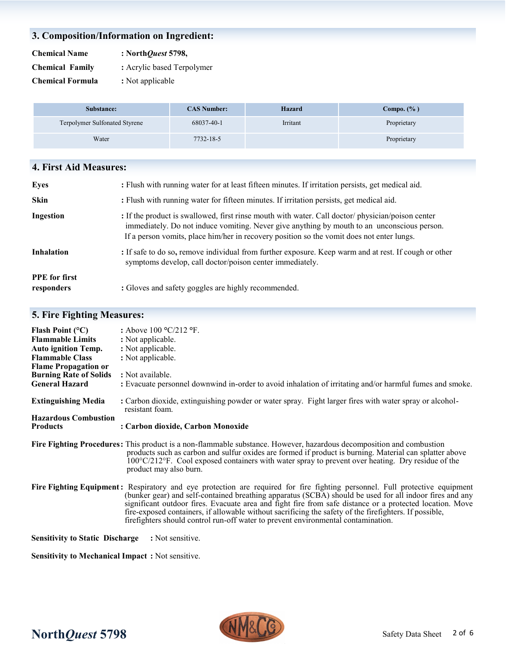## **3. Composition/Information on Ingredient:**

| <b>Chemical Name</b>    | : North Quest 5798,        |  |  |
|-------------------------|----------------------------|--|--|
| <b>Chemical Family</b>  | : Acrylic based Terpolymer |  |  |
| <b>Chemical Formula</b> | : Not applicable           |  |  |

| Substance:                           | <b>CAS Number:</b> | <b>Hazard</b> | Compo. $(\%$ ) |
|--------------------------------------|--------------------|---------------|----------------|
| <b>Terpolymer Sulfonated Styrene</b> | 68037-40-1         | Irritant      | Proprietary    |
| Water                                | 7732-18-5          |               | Proprietary    |

| 4. First Aid Measures: |                                                                                                   |
|------------------------|---------------------------------------------------------------------------------------------------|
| Eves                   | : Flush with running water for at least fifteen minutes. If irritation persists, get medical aid. |
| Skin                   | : Flush with running water for fifteen minutes. If irritation persists, get medical aid.          |

| Ingestion | : If the product is swallowed, first rinse mouth with water. Call doctor/physician/poison center |  |  |  |  |
|-----------|--------------------------------------------------------------------------------------------------|--|--|--|--|
|           | immediately. Do not induce vomiting. Never give anything by mouth to an unconscious person.      |  |  |  |  |
|           | If a person vomits, place him/her in recovery position so the vomit does not enter lungs.        |  |  |  |  |
|           |                                                                                                  |  |  |  |  |

**Inhalation** : If safe to do so, remove individual from further exposure. Keep warm and at rest. If cough or other symptoms develop, call doctor/poison center immediately.

| <b>PPE</b> for first |                                                     |
|----------------------|-----------------------------------------------------|
| responders           | : Gloves and safety goggles are highly recommended. |

# **5. Fire Fighting Measures:**

| Flash Point $(°C)$<br><b>Flammable Limits</b><br><b>Auto ignition Temp.</b><br><b>Flammable Class</b><br><b>Flame Propagation or</b><br><b>Burning Rate of Solids</b><br><b>General Hazard</b> | : Above $100 \text{ °C}/212 \text{ °F}$ .<br>: Not applicable.<br>: Not applicable.<br>: Not applicable.<br>: Not available.<br>: Evacuate personnel downwind in-order to avoid inhalation of irritating and/or harmful fumes and smoke.                                                                                                                                                                                                                                                                                                          |
|------------------------------------------------------------------------------------------------------------------------------------------------------------------------------------------------|---------------------------------------------------------------------------------------------------------------------------------------------------------------------------------------------------------------------------------------------------------------------------------------------------------------------------------------------------------------------------------------------------------------------------------------------------------------------------------------------------------------------------------------------------|
| <b>Extinguishing Media</b>                                                                                                                                                                     | : Carbon dioxide, extinguishing powder or water spray. Fight larger fires with water spray or alcohol-<br>resistant foam.                                                                                                                                                                                                                                                                                                                                                                                                                         |
| <b>Hazardous Combustion</b><br><b>Products</b>                                                                                                                                                 | : Carbon dioxide, Carbon Monoxide                                                                                                                                                                                                                                                                                                                                                                                                                                                                                                                 |
|                                                                                                                                                                                                | Fire Fighting Procedures: This product is a non-flammable substance. However, hazardous decomposition and combustion<br>products such as carbon and sulfur oxides are formed if product is burning. Material can splatter above<br>$100^{\circ}$ C/212 <sup>o</sup> F. Cool exposed containers with water spray to prevent over heating. Dry residue of the<br>product may also burn.                                                                                                                                                             |
|                                                                                                                                                                                                | Fire Fighting Equipment: Respiratory and eye protection are required for fire fighting personnel. Full protective equipment<br>(bunker gear) and self-contained breathing apparatus (SCBA) should be used for all indoor fires and any<br>significant outdoor fires. Evacuate area and fight fire from safe distance or a protected location. Move<br>fire-exposed containers, if allowable without sacrificing the safety of the firefighters. If possible,<br>firefighters should control run-off water to prevent environmental contamination. |
| <b>Sensitivity to Static Discharge</b>                                                                                                                                                         | : Not sensitive.                                                                                                                                                                                                                                                                                                                                                                                                                                                                                                                                  |
| <b>Sensitivity to Mechanical Impact:</b> Not sensitive.                                                                                                                                        |                                                                                                                                                                                                                                                                                                                                                                                                                                                                                                                                                   |

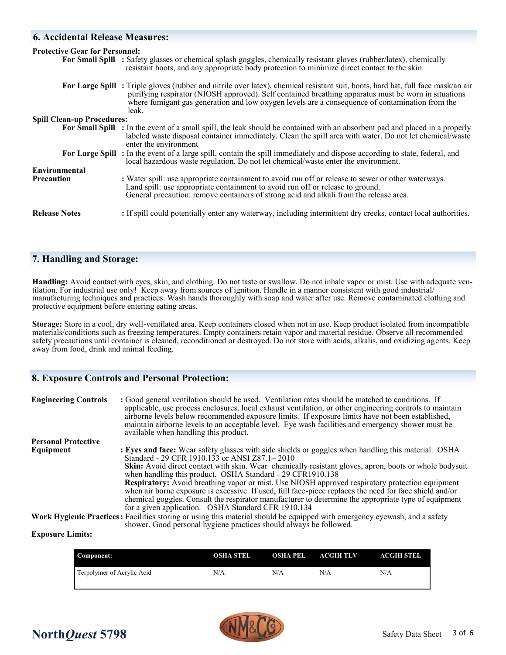### **6. Accidental Release Measures:**

# **Protective Gear for Personnel:**

|                                   | For Small Spill : Safety glasses or chemical splash goggles, chemically resistant gloves (rubber/latex), chemically<br>resistant boots, and any appropriate body protection to minimize direct contact to the skin.                                                                                                                                 |
|-----------------------------------|-----------------------------------------------------------------------------------------------------------------------------------------------------------------------------------------------------------------------------------------------------------------------------------------------------------------------------------------------------|
|                                   | For Large Spill: Triple gloves (rubber and nitrile over latex), chemical resistant suit, boots, hard hat, full face mask/an air<br>purifying respirator (NIOSH approved). Self contained breathing apparatus must be worn in situations<br>where fumigant gas generation and low oxygen levels are a consequence of contamination from the<br>leak. |
| <b>Spill Clean-up Procedures:</b> |                                                                                                                                                                                                                                                                                                                                                     |
|                                   | For Small Spill : In the event of a small spill, the leak should be contained with an absorbent pad and placed in a properly<br>labeled waste disposal container immediately. Clean the spill area with water. Do not let chemical/waste<br>enter the environment                                                                                   |
|                                   | For Large Spill: In the event of a large spill, contain the spill immediately and dispose according to state, federal, and<br>local hazardous waste regulation. Do not let chemical/waste enter the environment.                                                                                                                                    |
| <b>Environmental</b>              |                                                                                                                                                                                                                                                                                                                                                     |
| <b>Precaution</b>                 | : Water spill: use appropriate containment to avoid run off or release to sewer or other waterways.<br>Land spill: use appropriate containment to avoid run off or release to ground.<br>General precaution: remove containers of strong acid and alkali from the release area.                                                                     |
| <b>Release Notes</b>              | : If spill could potentially enter any waterway, including intermittent dry creeks, contact local authorities.                                                                                                                                                                                                                                      |

## **7. Handling and Storage:**

**Handling:** Avoid contact with eyes, skin, and clothing. Do not taste or swallow. Do not inhale vapor or mist. Use with adequate ventilation. For industrial use only! Keep away from sources of ignition. Handle in a manner consistent with good industrial/ manufacturing techniques and practices. Wash hands thoroughly with soap and water after use. Remove contaminated clothing and protective equipment before entering eating areas.

**Storage:** Store in a cool, dry well-ventilated area. Keep containers closed when not in use. Keep product isolated from incompatible materials/conditions such as freezing temperatures. Empty containers retain vapor and material residue. Observe all recommended safety precautions until container is cleaned, reconditioned or destroyed. Do not store with acids, alkalis, and oxidizing agents. Keep away from food, drink and animal feeding.

### **8. Exposure Controls and Personal Protection:**

| <b>Engineering Controls</b> | : Good general ventilation should be used. Ventilation rates should be matched to conditions. If<br>applicable, use process enclosures, local exhaust ventilation, or other engineering controls to maintain<br>airborne levels below recommended exposure limits. If exposure limits have not been established,<br>maintain airborne levels to an acceptable level. Eye wash facilities and emergency shower must be<br>available when handling this product. |
|-----------------------------|----------------------------------------------------------------------------------------------------------------------------------------------------------------------------------------------------------------------------------------------------------------------------------------------------------------------------------------------------------------------------------------------------------------------------------------------------------------|
| <b>Personal Protective</b>  |                                                                                                                                                                                                                                                                                                                                                                                                                                                                |
| Equipment                   | <b>Eyes and face:</b> Wear safety glasses with side shields or goggles when handling this material. OSHA<br>Standard - 29 CFR 1910.133 or ANSI Z87.1 - 2010                                                                                                                                                                                                                                                                                                    |
|                             | Skin: Avoid direct contact with skin. Wear chemically resistant gloves, apron, boots or whole bodysuit<br>when handling this product. OSHA Standard - 29 CFR1910.138                                                                                                                                                                                                                                                                                           |
|                             | <b>Respiratory:</b> Avoid breathing vapor or mist. Use NIOSH approved respiratory protection equipment<br>when air borne exposure is excessive. If used, full face-piece replaces the need for face shield and/or                                                                                                                                                                                                                                              |
|                             | chemical goggles. Consult the respirator manufacturer to determine the appropriate type of equipment                                                                                                                                                                                                                                                                                                                                                           |
|                             | for a given application. OSHA Standard CFR 1910.134                                                                                                                                                                                                                                                                                                                                                                                                            |
|                             | Work Hygienic Practices: Facilities storing or using this material should be equipped with emergency eyewash, and a safety<br>shower. Good personal hygiene practices should always be followed.                                                                                                                                                                                                                                                               |

**Exposure Limits:**

| Component:                 | OSHA STEL | OSHA PEL | ACGIH TLV | ACGIH STEL |
|----------------------------|-----------|----------|-----------|------------|
| Terpolymer of Acrylic Acid | N/A       | N/A      | N/A       | N/A        |

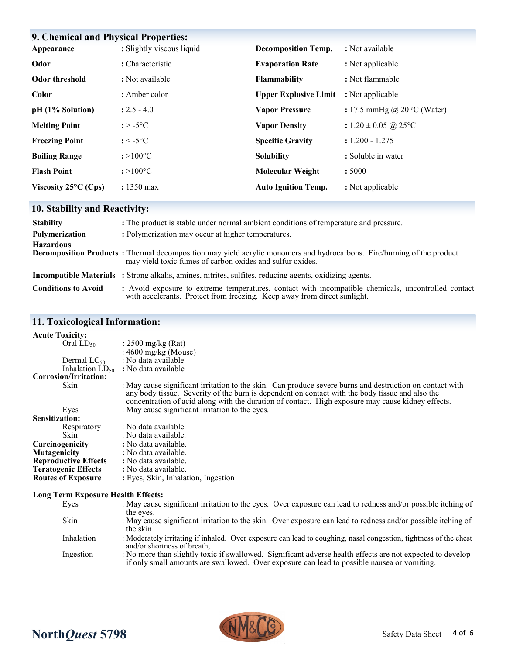| 9. Chemical and Physical Properties: |                           |                              |                                      |  |
|--------------------------------------|---------------------------|------------------------------|--------------------------------------|--|
| Appearance                           | : Slightly viscous liquid | <b>Decomposition Temp.</b>   | : Not available                      |  |
| Odor                                 | : Characteristic          | <b>Evaporation Rate</b>      | : Not applicable                     |  |
| <b>Odor threshold</b>                | : Not available           | <b>Flammability</b>          | : Not flammable                      |  |
| <b>Color</b>                         | : Amber color             | <b>Upper Explosive Limit</b> | : Not applicable                     |  |
| pH (1% Solution)                     | $: 2.5 - 4.0$             | <b>Vapor Pressure</b>        | : 17.5 mmHg @ 20 $\degree$ C (Water) |  |
| <b>Melting Point</b>                 | $: > -5$ °C               | <b>Vapor Density</b>         | : $1.20 \pm 0.05$ @ 25 °C            |  |
| <b>Freezing Point</b>                | $: < -5$ °C               | <b>Specific Gravity</b>      | $: 1.200 - 1.275$                    |  |
| <b>Boiling Range</b>                 | $: >100^{\circ}C$         | <b>Solubility</b>            | : Soluble in water                   |  |
| <b>Flash Point</b>                   | $: >100^{\circ}C$         | <b>Molecular Weight</b>      | :5000                                |  |
| Viscosity $25^{\circ}$ C (Cps)       | $: 1350 \text{ max}$      | <b>Auto Ignition Temp.</b>   | : Not applicable                     |  |

# **10. Stability and Reactivity:**

| <b>Stability</b>           | : The product is stable under normal ambient conditions of temperature and pressure.                                                                                                        |  |  |
|----------------------------|---------------------------------------------------------------------------------------------------------------------------------------------------------------------------------------------|--|--|
| Polymerization             | : Polymerization may occur at higher temperatures.                                                                                                                                          |  |  |
| <b>Hazardous</b>           | <b>Decomposition Products</b> : Thermal decomposition may yield acrylic monomers and hydrocarbons. Fire/burning of the product<br>may yield toxic fumes of carbon oxides and sulfur oxides. |  |  |
|                            | <b>Incompatible Materials</b> : Strong alkalis, amines, nitrites, sulfites, reducing agents, oxidizing agents.                                                                              |  |  |
| <b>Conditions to Avoid</b> | : Avoid exposure to extreme temperatures, contact with incompatible chemicals, uncontrolled contact<br>with accelerants. Protect from freezing. Keep away from direct sunlight.             |  |  |

# **11. Toxicological Information:**

| <b>Acute Toxicity:</b>                    |                  |                                                                                                                                                                                                                                                                                                                  |
|-------------------------------------------|------------------|------------------------------------------------------------------------------------------------------------------------------------------------------------------------------------------------------------------------------------------------------------------------------------------------------------------|
|                                           | Oral $LD_{50}$   | : $2500 \text{ mg/kg}$ (Rat)                                                                                                                                                                                                                                                                                     |
|                                           |                  | : $4600 \text{ mg/kg}$ (Mouse)                                                                                                                                                                                                                                                                                   |
|                                           | Dermal $LC_{50}$ | : No data available                                                                                                                                                                                                                                                                                              |
|                                           |                  | Inhalation $LD_{50}$ : No data available                                                                                                                                                                                                                                                                         |
| Corrosion/Irritation:                     |                  |                                                                                                                                                                                                                                                                                                                  |
| Skin                                      |                  | : May cause significant irritation to the skin. Can produce severe burns and destruction on contact with<br>any body tissue. Severity of the burn is dependent on contact with the body tissue and also the<br>concentration of acid along with the duration of contact. High exposure may cause kidney effects. |
| Eyes                                      |                  | : May cause significant irritation to the eyes.                                                                                                                                                                                                                                                                  |
| <b>Sensitization:</b>                     |                  |                                                                                                                                                                                                                                                                                                                  |
|                                           | Respiratory      | : No data available.                                                                                                                                                                                                                                                                                             |
| <b>Skin</b>                               |                  | : No data available.                                                                                                                                                                                                                                                                                             |
| Carcinogenicity                           |                  | : No data available.                                                                                                                                                                                                                                                                                             |
| Mutagenicity                              |                  | : No data available.                                                                                                                                                                                                                                                                                             |
| <b>Reproductive Effects</b>               |                  | : No data available.                                                                                                                                                                                                                                                                                             |
| <b>Teratogenic Effects</b>                |                  | : No data available.                                                                                                                                                                                                                                                                                             |
| <b>Routes of Exposure</b>                 |                  | : Eyes, Skin, Inhalation, Ingestion                                                                                                                                                                                                                                                                              |
| <b>Long Term Exposure Health Effects:</b> |                  |                                                                                                                                                                                                                                                                                                                  |

| Eyes       | : May cause significant irritation to the eyes. Over exposure can lead to redness and/or possible itching of                                                                                              |
|------------|-----------------------------------------------------------------------------------------------------------------------------------------------------------------------------------------------------------|
|            | the eyes.                                                                                                                                                                                                 |
| Skin       | : May cause significant irritation to the skin. Over exposure can lead to redness and/or possible itching of<br>the skin                                                                                  |
| Inhalation | : Moderately irritating if inhaled. Over exposure can lead to coughing, nasal congestion, tightness of the chest<br>and/or shortness of breath,                                                           |
| Ingestion  | : No more than slightly toxic if swallowed. Significant adverse health effects are not expected to develop<br>if only small amounts are swallowed. Over exposure can lead to possible nausea or vomiting. |
|            |                                                                                                                                                                                                           |



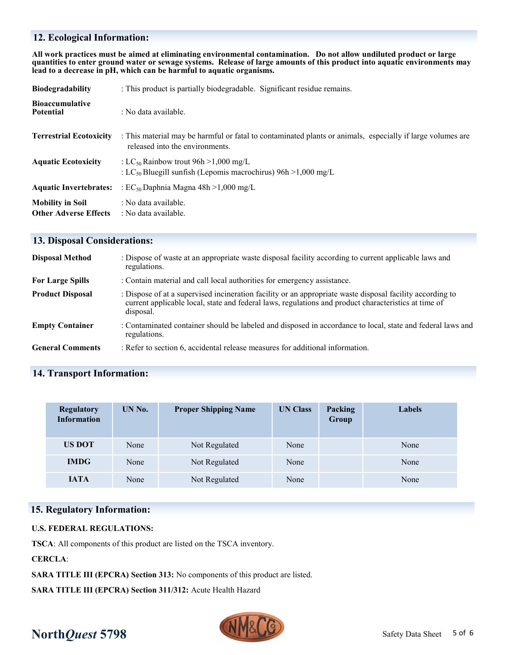## **12. Ecological Information:**

**All work practices must be aimed at eliminating environmental contamination. Do not allow undiluted product or large quantities to enter ground water or sewage systems. Release of large amounts of this product into aquatic environments may lead to a decrease in pH, which can be harmful to aquatic organisms.**

| <b>Biodegradability</b>                                 | : This product is partially biodegradable. Significant residue remains.                                                                       |  |  |
|---------------------------------------------------------|-----------------------------------------------------------------------------------------------------------------------------------------------|--|--|
| <b>Bioaccumulative</b><br><b>Potential</b>              | : No data available.                                                                                                                          |  |  |
| <b>Terrestrial Ecotoxicity</b>                          | : This material may be harmful or fatal to contaminated plants or animals, especially if large volumes are<br>released into the environments. |  |  |
| <b>Aquatic Ecotoxicity</b>                              | : LC <sub>50</sub> Rainbow trout $96h > 1,000$ mg/L<br>: LC <sub>50</sub> Bluegill sunfish (Lepomis macrochirus) $96h > 1,000$ mg/L           |  |  |
| <b>Aquatic Invertebrates:</b>                           | : $EC_{50}$ Daphnia Magna 48h > 1,000 mg/L                                                                                                    |  |  |
| <b>Mobility in Soil</b><br><b>Other Adverse Effects</b> | : No data available.<br>: No data available.                                                                                                  |  |  |

### **13. Disposal Considerations:**

| <b>Disposal Method</b>  | : Dispose of waste at an appropriate waste disposal facility according to current applicable laws and<br>regulations.                                                                                                          |
|-------------------------|--------------------------------------------------------------------------------------------------------------------------------------------------------------------------------------------------------------------------------|
| <b>For Large Spills</b> | : Contain material and call local authorities for emergency assistance.                                                                                                                                                        |
| <b>Product Disposal</b> | : Dispose of at a supervised incineration facility or an appropriate waste disposal facility according to<br>current applicable local, state and federal laws, regulations and product characteristics at time of<br>disposal. |
| <b>Empty Container</b>  | : Contaminated container should be labeled and disposed in accordance to local, state and federal laws and<br>regulations.                                                                                                     |
| <b>General Comments</b> | : Refer to section 6, accidental release measures for additional information.                                                                                                                                                  |

# **14. Transport Information:**

| <b>Regulatory</b><br><b>Information</b> | UN No. | <b>Proper Shipping Name</b> | <b>UN Class</b> | Packing<br>Group | Labels |
|-----------------------------------------|--------|-----------------------------|-----------------|------------------|--------|
| <b>US DOT</b>                           | None   | Not Regulated               | None            |                  | None   |
| <b>IMDG</b>                             | None   | Not Regulated               | None            |                  | None   |
| <b>IATA</b>                             | None   | Not Regulated               | None            |                  | None   |

### **15. Regulatory Information:**

### **U.S. FEDERAL REGULATIONS:**

**TSCA**: All components of this product are listed on the TSCA inventory.

**CERCLA**:

**SARA TITLE III (EPCRA) Section 313:** No components of this product are listed.

**SARA TITLE III (EPCRA) Section 311/312:** Acute Health Hazard



# **North***Quest* **5798** Safety Data Sheet